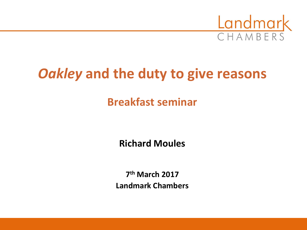

## *Oakley* **and the duty to give reasons**

**Breakfast seminar**

**Richard Moules**

**7 th March 2017 Landmark Chambers**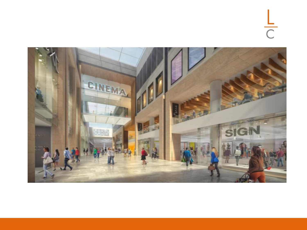# $\frac{1}{C}$

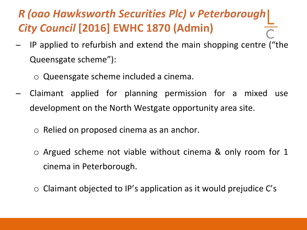### *R (oao Hawksworth Securities Plc) v Peterborough City Council* **[2016] EWHC 1870 (Admin)**

- ̶ IP applied to refurbish and extend the main shopping centre ("the Queensgate scheme"):
	- o Queensgate scheme included a cinema.
- ̶ Claimant applied for planning permission for a mixed use development on the North Westgate opportunity area site.
	- o Relied on proposed cinema as an anchor.
	- o Argued scheme not viable without cinema & only room for 1 cinema in Peterborough.
	- $\circ$  Claimant objected to IP's application as it would prejudice C's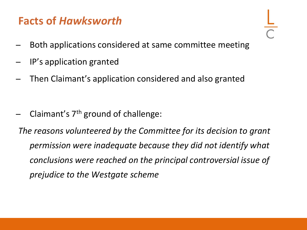#### **Facts of** *Hawksworth*

- ̶ Both applications considered at same committee meeting
- ̶ IP's application granted
- ̶ Then Claimant's application considered and also granted

Claimant's  $7<sup>th</sup>$  ground of challenge:

*The reasons volunteered by the Committee for its decision to grant permission were inadequate because they did not identify what conclusions were reached on the principal controversial issue of prejudice to the Westgate scheme*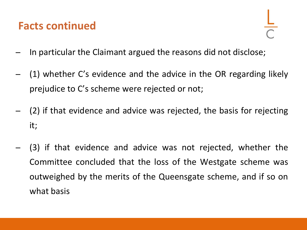#### **Facts continued**

- In particular the Claimant argued the reasons did not disclose;
- ̶ (1) whether C's evidence and the advice in the OR regarding likely prejudice to C's scheme were rejected or not;
- ̶ (2) if that evidence and advice was rejected, the basis for rejecting it;
- ̶ (3) if that evidence and advice was not rejected, whether the Committee concluded that the loss of the Westgate scheme was outweighed by the merits of the Queensgate scheme, and if so on what basis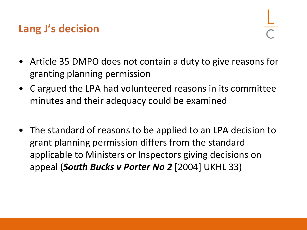#### **Lang J's decision**

- Article 35 DMPO does not contain a duty to give reasons for granting planning permission
- C argued the LPA had volunteered reasons in its committee minutes and their adequacy could be examined
- The standard of reasons to be applied to an LPA decision to grant planning permission differs from the standard applicable to Ministers or Inspectors giving decisions on appeal (*South Bucks v Porter No 2* [2004] UKHL 33)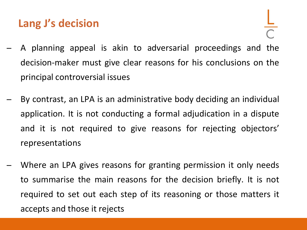#### **Lang J's decision**

- ̶ A planning appeal is akin to adversarial proceedings and the decision-maker must give clear reasons for his conclusions on the principal controversial issues
- By contrast, an LPA is an administrative body deciding an individual application. It is not conducting a formal adjudication in a dispute and it is not required to give reasons for rejecting objectors' representations
- Where an LPA gives reasons for granting permission it only needs to summarise the main reasons for the decision briefly. It is not required to set out each step of its reasoning or those matters it accepts and those it rejects